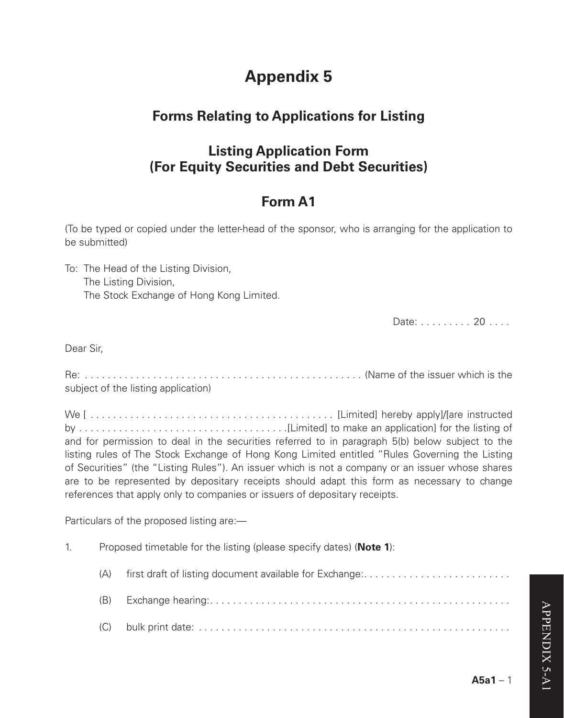# **Appendix 5**

### **Forms Relating to Applications for Listing**

### **Listing Application Form (For Equity Securities and Debt Securities)**

## **Form A1**

(To be typed or copied under the letter-head of the sponsor, who is arranging for the application to be submitted)

To: The Head of the Listing Division, The Listing Division, The Stock Exchange of Hong Kong Limited.

Date: . . . . . . . . . 20 . . . . .

Dear Sir,

Re: . . (Name of the issuer which is the subject of the listing application)

We [ . . [Limited] hereby apply]/[are instructed by . [Limited] to make an application] for the listing of and for permission to deal in the securities referred to in paragraph 5(b) below subject to the listing rules of The Stock Exchange of Hong Kong Limited entitled "Rules Governing the Listing of Securities" (the "Listing Rules"). An issuer which is not a company or an issuer whose shares are to be represented by depositary receipts should adapt this form as necessary to change references that apply only to companies or issuers of depositary receipts.

Particulars of the proposed listing are:-

- 1. Proposed timetable for the listing (please specify dates) (**Note 1**):
	- (A) first draft of listing document available for Exchange:  $\dots \dots \dots \dots \dots \dots \dots \dots$
	- (B) Exchange hearing: . . (C) bulk print date: . .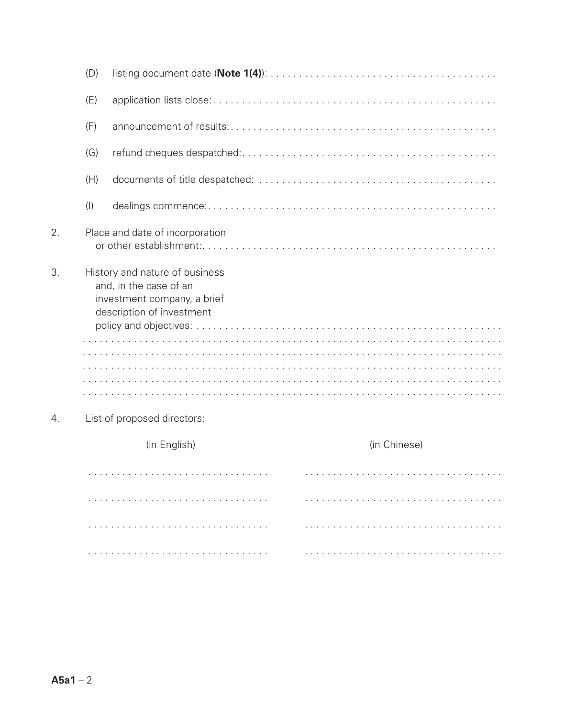|                                                                                                                            | (D)       |                                 |              |
|----------------------------------------------------------------------------------------------------------------------------|-----------|---------------------------------|--------------|
|                                                                                                                            | (E)       |                                 |              |
|                                                                                                                            | (F)       |                                 |              |
|                                                                                                                            | (G)       |                                 |              |
|                                                                                                                            | (H)       |                                 |              |
|                                                                                                                            | $($ l $)$ |                                 |              |
| $\overline{2}$ .                                                                                                           |           | Place and date of incorporation |              |
| 3.<br>History and nature of business<br>and, in the case of an<br>investment company, a brief<br>description of investment |           |                                 |              |
|                                                                                                                            |           |                                 |              |
|                                                                                                                            |           |                                 |              |
| 4.                                                                                                                         |           | List of proposed directors:     |              |
|                                                                                                                            |           | (in English)                    | (in Chinese) |
|                                                                                                                            |           |                                 |              |
|                                                                                                                            |           |                                 |              |
|                                                                                                                            |           |                                 |              |

. .

. .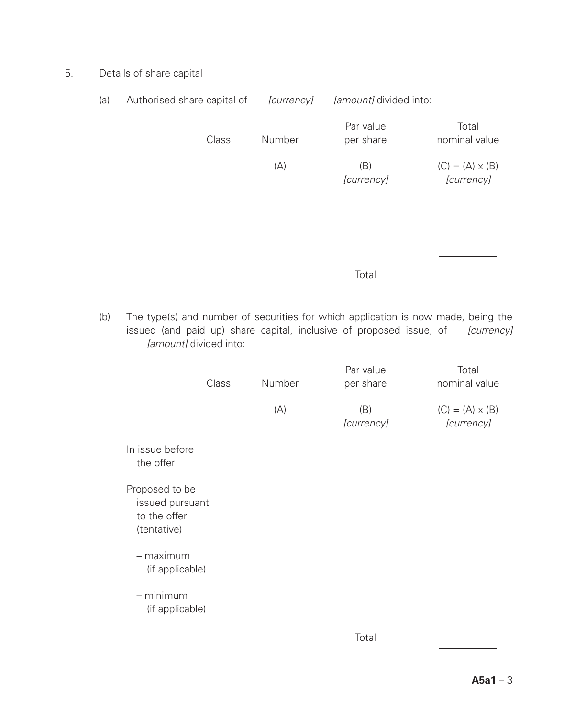5. Details of share capital

| (a) | Authorised share capital of                                                                                                                                                        | <i>currencyl</i> | <i>[amount]</i> divided into: |                                      |
|-----|------------------------------------------------------------------------------------------------------------------------------------------------------------------------------------|------------------|-------------------------------|--------------------------------------|
|     | Class                                                                                                                                                                              | Number           | Par value<br>per share        | Total<br>nominal value               |
|     |                                                                                                                                                                                    | (A)              | (B)<br>[currency]             | $(C) = (A) \times (B)$<br>[currency] |
|     |                                                                                                                                                                                    |                  |                               |                                      |
|     |                                                                                                                                                                                    |                  |                               |                                      |
|     |                                                                                                                                                                                    |                  | Total                         |                                      |
| (b) | The type(s) and number of securities for which application is now made, being the<br>issued (and paid up) share capital, inclusive of proposed issue, of<br>[amount] divided into: |                  |                               | <i>[currency]</i>                    |

|                                                                  | Class | Number | Par value<br>per share | Total<br>nominal value               |
|------------------------------------------------------------------|-------|--------|------------------------|--------------------------------------|
|                                                                  |       | (A)    | (B)<br>[currency]      | $(C) = (A) \times (B)$<br>[currency] |
| In issue before<br>the offer                                     |       |        |                        |                                      |
| Proposed to be<br>issued pursuant<br>to the offer<br>(tentative) |       |        |                        |                                      |
| – maximum<br>(if applicable)                                     |       |        |                        |                                      |
| $-$ minimum<br>(if applicable)                                   |       |        |                        |                                      |
|                                                                  |       |        | Total                  |                                      |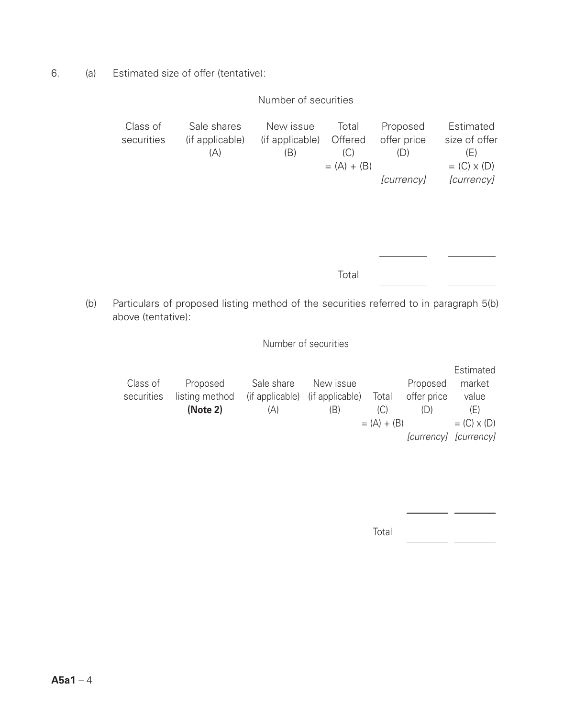6. (a) Estimated size of offer (tentative):

### Number of securities

| Class of   | Sale shares                                                                            | New issue       | Total        | Proposed         | Estimated         |
|------------|----------------------------------------------------------------------------------------|-----------------|--------------|------------------|-------------------|
| securities | (if applicable)                                                                        | (if applicable) | Offered      | offer price      | size of offer     |
|            | (A)                                                                                    | (B)             | (C)          | (D)              | (E)               |
|            |                                                                                        |                 | $=(A) + (B)$ |                  | $=(C) \times (D)$ |
|            |                                                                                        |                 |              | <i>currencyl</i> | <i>currencyl</i>  |
|            |                                                                                        |                 |              |                  |                   |
|            |                                                                                        |                 |              |                  |                   |
|            |                                                                                        |                 |              |                  |                   |
|            |                                                                                        |                 |              |                  |                   |
|            |                                                                                        |                 |              |                  |                   |
|            |                                                                                        |                 |              |                  |                   |
|            |                                                                                        |                 | Total        |                  |                   |
|            |                                                                                        |                 |              |                  |                   |
|            | Particulars of proposed listing method of the securities referred to in paragraph 5(b) |                 |              |                  |                   |

(b) Particulars of proposed listing method of the securities referred to in paragraph 5(b) above (tentative):

Number of securities

|            |                |                                 |           |              |             | Estimated             |
|------------|----------------|---------------------------------|-----------|--------------|-------------|-----------------------|
| Class of   | Proposed       | Sale share                      | New issue |              | Proposed    | market                |
| securities | listing method | (if applicable) (if applicable) |           | Total        | offer price | value                 |
|            | (Note 2)       | (A)                             | (B)       | (C)          | (D)         | (E)                   |
|            |                |                                 |           | $=(A) + (B)$ |             | $=(C) \times (D)$     |
|            |                |                                 |           |              |             | [currency] [currency] |

total and the control of the control of the control of the control of the control of the control of the control of the control of the control of the control of the control of the control of the control of the control of th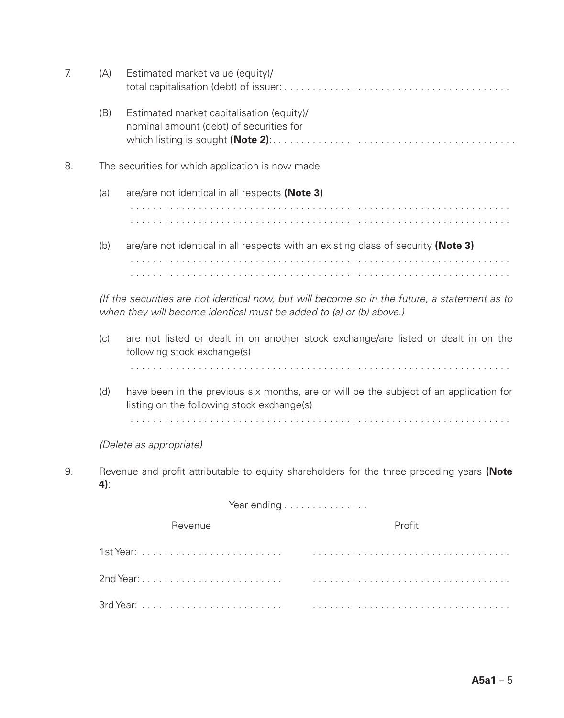| 7. | (A)                                                                                                                                                                  | Estimated market value (equity)/                                                                                  |  |  |  |  |
|----|----------------------------------------------------------------------------------------------------------------------------------------------------------------------|-------------------------------------------------------------------------------------------------------------------|--|--|--|--|
|    | (B)                                                                                                                                                                  | Estimated market capitalisation (equity)/<br>nominal amount (debt) of securities for                              |  |  |  |  |
| 8. |                                                                                                                                                                      | The securities for which application is now made                                                                  |  |  |  |  |
|    | (a)                                                                                                                                                                  | are/are not identical in all respects (Note 3)                                                                    |  |  |  |  |
|    |                                                                                                                                                                      |                                                                                                                   |  |  |  |  |
|    | (b)<br>are/are not identical in all respects with an existing class of security (Note 3)                                                                             |                                                                                                                   |  |  |  |  |
|    |                                                                                                                                                                      |                                                                                                                   |  |  |  |  |
|    | (If the securities are not identical now, but will become so in the future, a statement as to<br>when they will become identical must be added to (a) or (b) above.) |                                                                                                                   |  |  |  |  |
|    | (c)                                                                                                                                                                  | are not listed or dealt in on another stock exchange/are listed or dealt in on the<br>following stock exchange(s) |  |  |  |  |
|    |                                                                                                                                                                      |                                                                                                                   |  |  |  |  |
|    | have been in the previous six months, are or will be the subject of an application for<br>(d)<br>listing on the following stock exchange(s)                          |                                                                                                                   |  |  |  |  |
|    |                                                                                                                                                                      |                                                                                                                   |  |  |  |  |
|    |                                                                                                                                                                      | (Delete as appropriate)                                                                                           |  |  |  |  |
| 9. | Revenue and profit attributable to equity shareholders for the three preceding years (Note<br>4)                                                                     |                                                                                                                   |  |  |  |  |
|    | Year ending                                                                                                                                                          |                                                                                                                   |  |  |  |  |
|    |                                                                                                                                                                      | Revenue<br>Profit                                                                                                 |  |  |  |  |
|    |                                                                                                                                                                      |                                                                                                                   |  |  |  |  |
|    |                                                                                                                                                                      |                                                                                                                   |  |  |  |  |
|    |                                                                                                                                                                      |                                                                                                                   |  |  |  |  |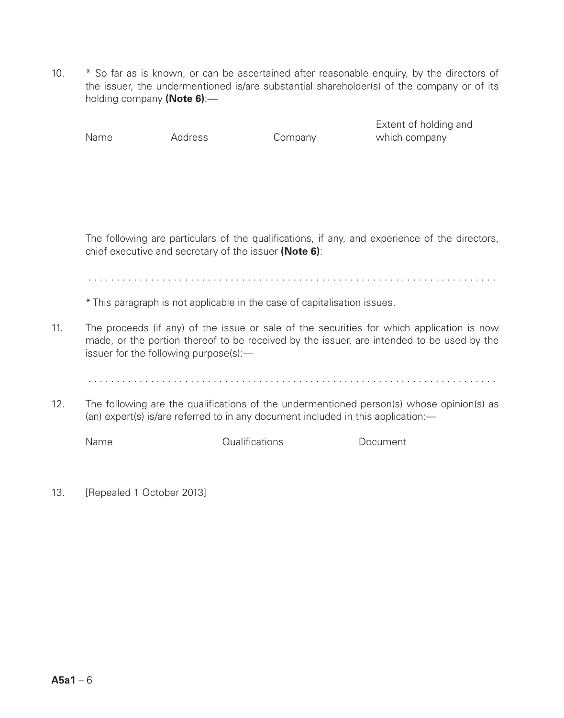10. \* So far as is known, or can be ascertained after reasonable enquiry, by the directors of the issuer, the undermentioned is/are substantial shareholder(s) of the company or of its holding company **(Note 6)**:—

Extent of holding and Name Address Company which company

The following are particulars of the qualifications, if any, and experience of the directors, chief executive and secretary of the issuer **(Note 6)**:

. .

\* This paragraph is not applicable in the case of capitalisation issues.

11. The proceeds (if any) of the issue or sale of the securities for which application is now made, or the portion thereof to be received by the issuer, are intended to be used by the issuer for the following purpose(s):—

12. The following are the qualifications of the undermentioned person(s) whose opinion(s) as (an) expert(s) is/are referred to in any document included in this application:—

Name Qualifications Document

13. [Repealed 1 October 2013]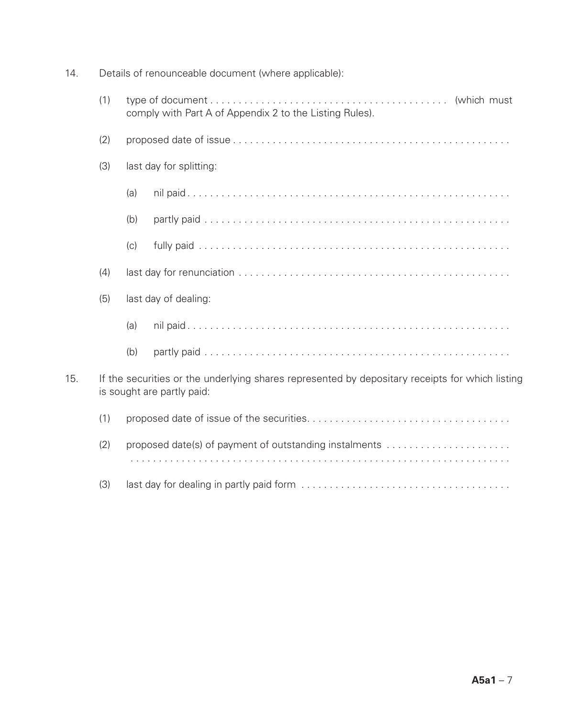14. Details of renounceable document (where applicable): (1) type of document . . (which must comply with Part A of Appendix 2 to the Listing Rules). (2) proposed date of issue . . (3) last day for splitting: (a) nil paid . . (b) partly paid . . (c) fully paid . . (4) last day for renunciation . . (5) last day of dealing: (a) nil paid . . (b) partly paid . . 15. If the securities or the underlying shares represented by depositary receipts for which listing is sought are partly paid: (1) proposed date of issue of the securities . . (2) proposed date(s) of payment of outstanding instalments . . (3) last day for dealing in partly paid form . .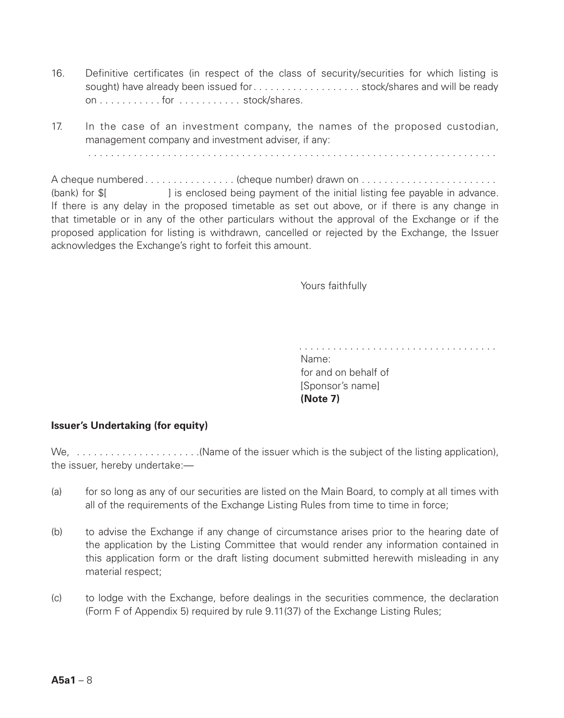- 16. Definitive certificates (in respect of the class of security/securities for which listing is sought) have already been issued for . . . . . . . . . . . . . . . . . . stock/shares and will be ready on . for . . stock/shares.
- 17. In the case of an investment company, the names of the proposed custodian, management company and investment adviser, if any:

A cheque numbered . . (cheque number) drawn on . . (bank) for \$[ ] is enclosed being payment of the initial listing fee payable in advance. If there is any delay in the proposed timetable as set out above, or if there is any change in that timetable or in any of the other particulars without the approval of the Exchange or if the proposed application for listing is withdrawn, cancelled or rejected by the Exchange, the Issuer acknowledges the Exchange's right to forfeit this amount.

Yours faithfully

Name: for and on behalf of [Sponsor's name] **(Note 7)**

#### **Issuer's Undertaking (for equity)**

We,  $\ldots$ ,  $\ldots$ ,  $\ldots$ ,  $\ldots$ ,  $\ldots$ , (Name of the issuer which is the subject of the listing application), the issuer, hereby undertake:—

- (a) for so long as any of our securities are listed on the Main Board, to comply at all times with all of the requirements of the Exchange Listing Rules from time to time in force;
- (b) to advise the Exchange if any change of circumstance arises prior to the hearing date of the application by the Listing Committee that would render any information contained in this application form or the draft listing document submitted herewith misleading in any material respect;
- (c) to lodge with the Exchange, before dealings in the securities commence, the declaration (Form F of Appendix 5) required by rule 9.11(37) of the Exchange Listing Rules;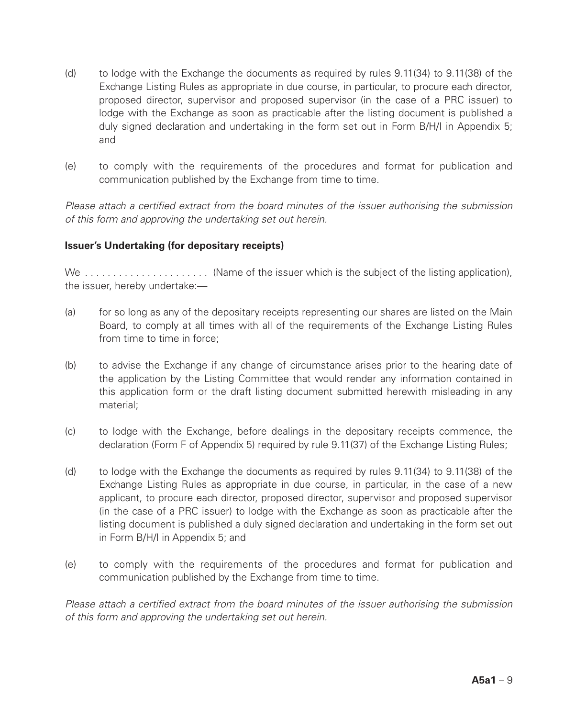- (d) to lodge with the Exchange the documents as required by rules 9.11(34) to 9.11(38) of the Exchange Listing Rules as appropriate in due course, in particular, to procure each director, proposed director, supervisor and proposed supervisor (in the case of a PRC issuer) to lodge with the Exchange as soon as practicable after the listing document is published a duly signed declaration and undertaking in the form set out in Form B/H/I in Appendix 5; and
- (e) to comply with the requirements of the procedures and format for publication and communication published by the Exchange from time to time.

*Please attach a certified extract from the board minutes of the issuer authorising the submission of this form and approving the undertaking set out herein.*

#### **Issuer's Undertaking (for depositary receipts)**

We  $\ldots$ ,  $\ldots$ ,  $\ldots$ ,  $\ldots$ ,  $\ldots$  (Name of the issuer which is the subject of the listing application), the issuer, hereby undertake:—

- (a) for so long as any of the depositary receipts representing our shares are listed on the Main Board, to comply at all times with all of the requirements of the Exchange Listing Rules from time to time in force;
- (b) to advise the Exchange if any change of circumstance arises prior to the hearing date of the application by the Listing Committee that would render any information contained in this application form or the draft listing document submitted herewith misleading in any material;
- (c) to lodge with the Exchange, before dealings in the depositary receipts commence, the declaration (Form F of Appendix 5) required by rule 9.11(37) of the Exchange Listing Rules;
- (d) to lodge with the Exchange the documents as required by rules 9.11(34) to 9.11(38) of the Exchange Listing Rules as appropriate in due course, in particular, in the case of a new applicant, to procure each director, proposed director, supervisor and proposed supervisor (in the case of a PRC issuer) to lodge with the Exchange as soon as practicable after the listing document is published a duly signed declaration and undertaking in the form set out in Form B/H/I in Appendix 5; and
- (e) to comply with the requirements of the procedures and format for publication and communication published by the Exchange from time to time.

*Please attach a certified extract from the board minutes of the issuer authorising the submission of this form and approving the undertaking set out herein.*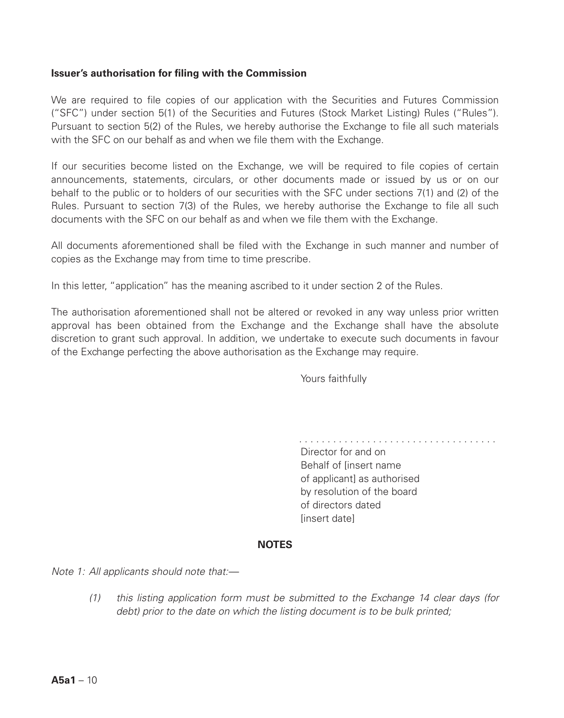#### **Issuer's authorisation for filing with the Commission**

We are required to file copies of our application with the Securities and Futures Commission ("SFC") under section 5(1) of the Securities and Futures (Stock Market Listing) Rules ("Rules"). Pursuant to section 5(2) of the Rules, we hereby authorise the Exchange to file all such materials with the SFC on our behalf as and when we file them with the Exchange.

If our securities become listed on the Exchange, we will be required to file copies of certain announcements, statements, circulars, or other documents made or issued by us or on our behalf to the public or to holders of our securities with the SFC under sections 7(1) and (2) of the Rules. Pursuant to section 7(3) of the Rules, we hereby authorise the Exchange to file all such documents with the SFC on our behalf as and when we file them with the Exchange.

All documents aforementioned shall be filed with the Exchange in such manner and number of copies as the Exchange may from time to time prescribe.

In this letter, "application" has the meaning ascribed to it under section 2 of the Rules.

The authorisation aforementioned shall not be altered or revoked in any way unless prior written approval has been obtained from the Exchange and the Exchange shall have the absolute discretion to grant such approval. In addition, we undertake to execute such documents in favour of the Exchange perfecting the above authorisation as the Exchange may require.

Yours faithfully

Director for and on Behalf of [insert name of applicantl as authorised by resolution of the board of directors dated [insert date]

#### **NOTES**

*Note 1: All applicants should note that:—*

*(1) this listing application form must be submitted to the Exchange 14 clear days (for debt) prior to the date on which the listing document is to be bulk printed;*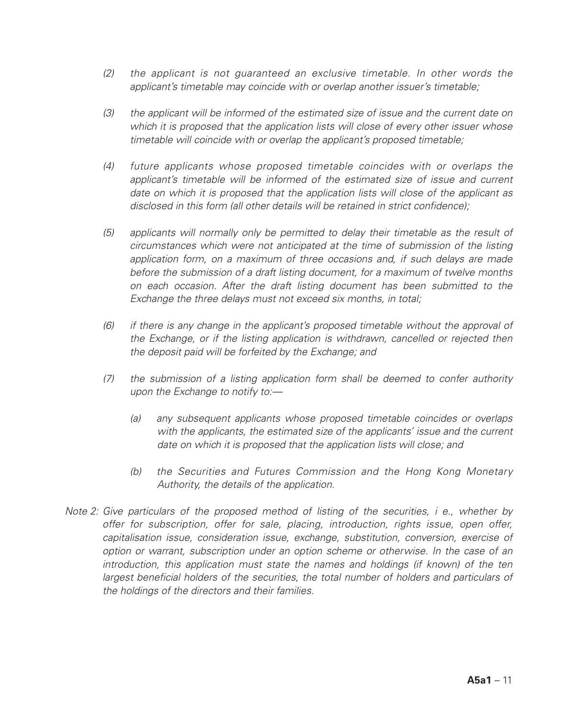- *(2) the applicant is not guaranteed an exclusive timetable. In other words the applicant's timetable may coincide with or overlap another issuer's timetable;*
- *(3) the applicant will be informed of the estimated size of issue and the current date on which it is proposed that the application lists will close of every other issuer whose timetable will coincide with or overlap the applicant's proposed timetable;*
- *(4) future applicants whose proposed timetable coincides with or overlaps the*  applicant's timetable will be informed of the estimated size of issue and current *date on which it is proposed that the application lists will close of the applicant as disclosed in this form (all other details will be retained in strict confidence);*
- *(5) applicants will normally only be permitted to delay their timetable as the result of circumstances which were not anticipated at the time of submission of the listing application form, on a maximum of three occasions and, if such delays are made before the submission of a draft listing document, for a maximum of twelve months on each occasion. After the draft listing document has been submitted to the Exchange the three delays must not exceed six months, in total;*
- *(6) if there is any change in the applicant's proposed timetable without the approval of the Exchange, or if the listing application is withdrawn, cancelled or rejected then the deposit paid will be forfeited by the Exchange; and*
- *(7) the submission of a listing application form shall be deemed to confer authority upon the Exchange to notify to:—*
	- *(a) any subsequent applicants whose proposed timetable coincides or overlaps with the applicants, the estimated size of the applicants' issue and the current date on which it is proposed that the application lists will close; and*
	- *(b) the Securities and Futures Commission and the Hong Kong Monetary Authority, the details of the application.*
- *Note 2: Give particulars of the proposed method of listing of the securities, i e., whether by offer for subscription, offer for sale, placing, introduction, rights issue, open offer, capitalisation issue, consideration issue, exchange, substitution, conversion, exercise of option or warrant, subscription under an option scheme or otherwise. In the case of an introduction, this application must state the names and holdings (if known) of the ten*  largest beneficial holders of the securities, the total number of holders and particulars of *the holdings of the directors and their families.*